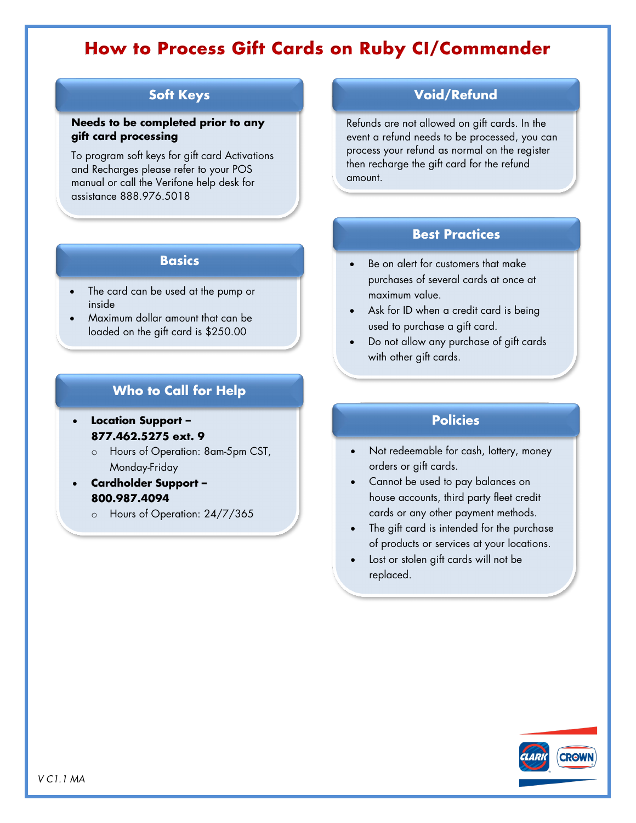# **How to Process Gift Cards on Ruby CI/Commander**

### **Soft Keys**

#### **Needs to be completed prior to any gift card processing**

To program soft keys for gift card Activations and Recharges please refer to your POS manual or call the Verifone help desk for assistance 888.976.5018

#### **Basics**

- The card can be used at the pump or inside
- Maximum dollar amount that can be loaded on the gift card is \$250.00

## **Who to Call for Help**

- **Location Support – 877.462.5275 ext. 9**
	- o Hours of Operation: 8am-5pm CST, Monday-Friday
- **Cardholder Support – 800.987.4094**
	- o Hours of Operation: 24/7/365

### **Void/Refund**

Refunds are not allowed on gift cards. In the event a refund needs to be processed, you can process your refund as normal on the register then recharge the gift card for the refund amount.

### **Best Practices**

- Be on alert for customers that make purchases of several cards at once at maximum value.
- Ask for ID when a credit card is being used to purchase a gift card.
- Do not allow any purchase of gift cards with other gift cards.

### **Policies**

- Not redeemable for cash, lottery, money orders or gift cards.
- Cannot be used to pay balances on house accounts, third party fleet credit cards or any other payment methods.
- The gift card is intended for the purchase of products or services at your locations.
- Lost or stolen gift cards will not be replaced.